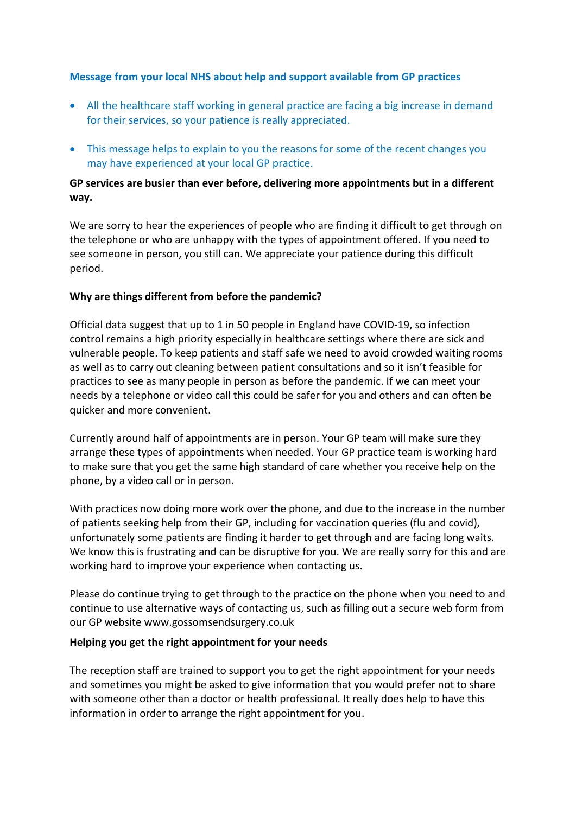## **Message from your local NHS about help and support available from GP practices**

- All the healthcare staff working in general practice are facing a big increase in demand for their services, so your patience is really appreciated.
- This message helps to explain to you the reasons for some of the recent changes you may have experienced at your local GP practice.

## **GP services are busier than ever before, delivering more appointments but in a different way.**

We are sorry to hear the experiences of people who are finding it difficult to get through on the telephone or who are unhappy with the types of appointment offered. If you need to see someone in person, you still can. We appreciate your patience during this difficult period.

## **Why are things different from before the pandemic?**

Official data suggest that up to 1 in 50 people in England have COVID-19, so infection control remains a high priority especially in healthcare settings where there are sick and vulnerable people. To keep patients and staff safe we need to avoid crowded waiting rooms as well as to carry out cleaning between patient consultations and so it isn't feasible for practices to see as many people in person as before the pandemic. If we can meet your needs by a telephone or video call this could be safer for you and others and can often be quicker and more convenient.

Currently around half of appointments are in person. Your GP team will make sure they arrange these types of appointments when needed. Your GP practice team is working hard to make sure that you get the same high standard of care whether you receive help on the phone, by a video call or in person.

With practices now doing more work over the phone, and due to the increase in the number of patients seeking help from their GP, including for vaccination queries (flu and covid), unfortunately some patients are finding it harder to get through and are facing long waits. We know this is frustrating and can be disruptive for you. We are really sorry for this and are working hard to improve your experience when contacting us.

Please do continue trying to get through to the practice on the phone when you need to and continue to use alternative ways of contacting us, such as filling out a secure web form from our GP website www.gossomsendsurgery.co.uk

## **Helping you get the right appointment for your needs**

The reception staff are trained to support you to get the right appointment for your needs and sometimes you might be asked to give information that you would prefer not to share with someone other than a doctor or health professional. It really does help to have this information in order to arrange the right appointment for you.